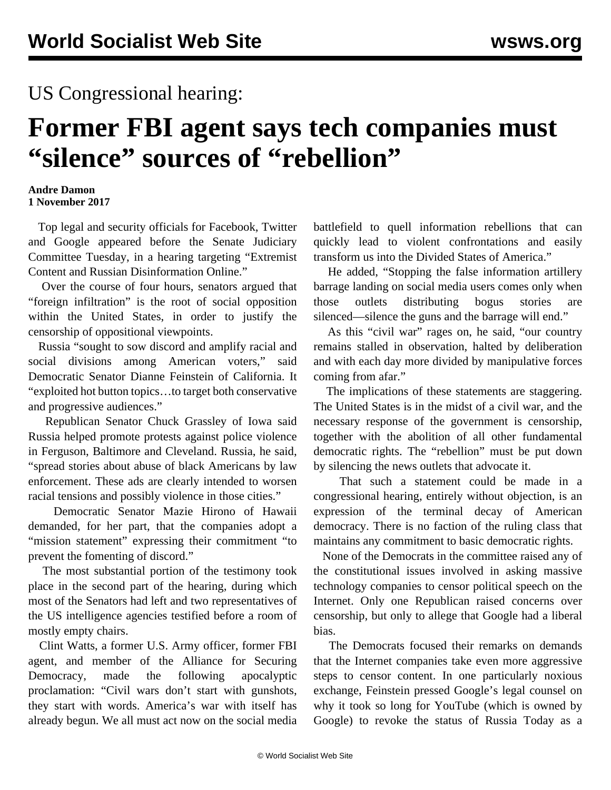## US Congressional hearing:

## **Former FBI agent says tech companies must "silence" sources of "rebellion"**

## **Andre Damon 1 November 2017**

 Top legal and security officials for Facebook, Twitter and Google appeared before the Senate Judiciary Committee Tuesday, in a hearing targeting "Extremist Content and Russian Disinformation Online."

 Over the course of four hours, senators argued that "foreign infiltration" is the root of social opposition within the United States, in order to justify the censorship of oppositional viewpoints.

 Russia "sought to sow discord and amplify racial and social divisions among American voters," said Democratic Senator Dianne Feinstein of California. It "exploited hot button topics…to target both conservative and progressive audiences."

 Republican Senator Chuck Grassley of Iowa said Russia helped promote protests against police violence in Ferguson, Baltimore and Cleveland. Russia, he said, "spread stories about abuse of black Americans by law enforcement. These ads are clearly intended to worsen racial tensions and possibly violence in those cities."

 Democratic Senator Mazie Hirono of Hawaii demanded, for her part, that the companies adopt a "mission statement" expressing their commitment "to prevent the fomenting of discord."

 The most substantial portion of the testimony took place in the second part of the hearing, during which most of the Senators had left and two representatives of the US intelligence agencies testified before a room of mostly empty chairs.

 Clint Watts, a former U.S. Army officer, former FBI agent, and member of the Alliance for Securing Democracy, made the following apocalyptic proclamation: "Civil wars don't start with gunshots, they start with words. America's war with itself has already begun. We all must act now on the social media battlefield to quell information rebellions that can quickly lead to violent confrontations and easily transform us into the Divided States of America."

 He added, "Stopping the false information artillery barrage landing on social media users comes only when those outlets distributing bogus stories are silenced—silence the guns and the barrage will end."

 As this "civil war" rages on, he said, "our country remains stalled in observation, halted by deliberation and with each day more divided by manipulative forces coming from afar."

 The implications of these statements are staggering. The United States is in the midst of a civil war, and the necessary response of the government is censorship, together with the abolition of all other fundamental democratic rights. The "rebellion" must be put down by silencing the news outlets that advocate it.

 That such a statement could be made in a congressional hearing, entirely without objection, is an expression of the terminal decay of American democracy. There is no faction of the ruling class that maintains any commitment to basic democratic rights.

 None of the Democrats in the committee raised any of the constitutional issues involved in asking massive technology companies to censor political speech on the Internet. Only one Republican raised concerns over censorship, but only to allege that Google had a liberal bias.

 The Democrats focused their remarks on demands that the Internet companies take even more aggressive steps to censor content. In one particularly noxious exchange, Feinstein pressed Google's legal counsel on why it took so long for YouTube (which is owned by Google) to revoke the status of Russia Today as a